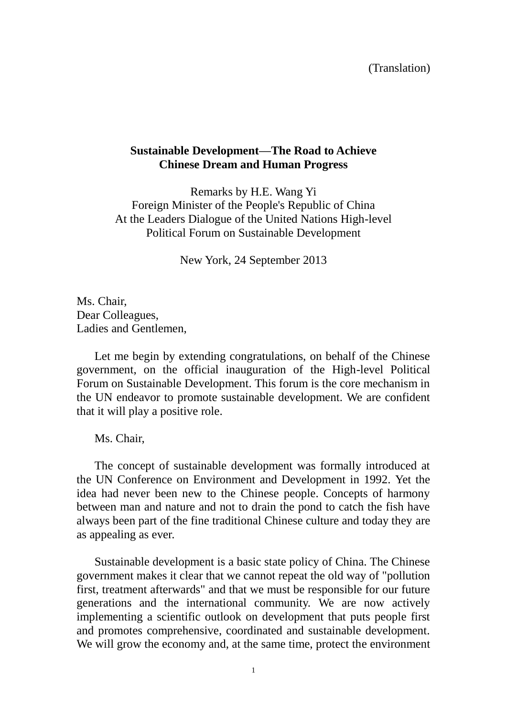(Translation)

## **Sustainable Development––The Road to Achieve Chinese Dream and Human Progress**

Remarks by H.E. Wang Yi Foreign Minister of the People's Republic of China At the Leaders Dialogue of the United Nations High-level Political Forum on Sustainable Development

New York, 24 September 2013

Ms. Chair, Dear Colleagues, Ladies and Gentlemen,

Let me begin by extending congratulations, on behalf of the Chinese government, on the official inauguration of the High-level Political Forum on Sustainable Development. This forum is the core mechanism in the UN endeavor to promote sustainable development. We are confident that it will play a positive role.

Ms. Chair,

The concept of sustainable development was formally introduced at the UN Conference on Environment and Development in 1992. Yet the idea had never been new to the Chinese people. Concepts of harmony between man and nature and not to drain the pond to catch the fish have always been part of the fine traditional Chinese culture and today they are as appealing as ever.

Sustainable development is a basic state policy of China. The Chinese government makes it clear that we cannot repeat the old way of "pollution first, treatment afterwards" and that we must be responsible for our future generations and the international community. We are now actively implementing a scientific outlook on development that puts people first and promotes comprehensive, coordinated and sustainable development. We will grow the economy and, at the same time, protect the environment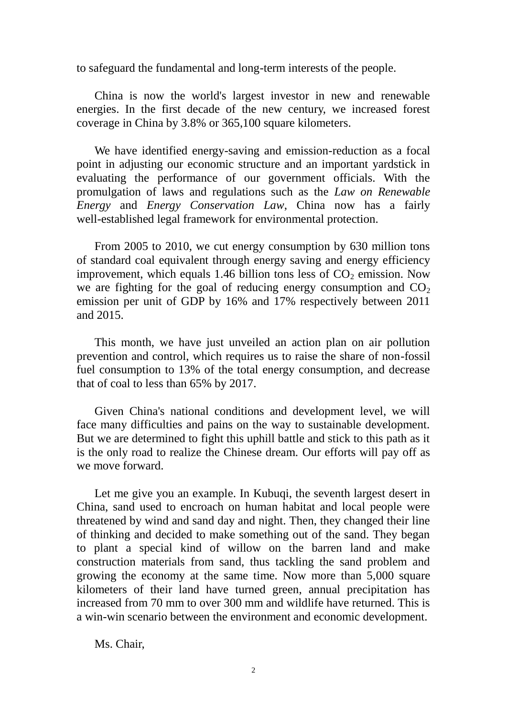to safeguard the fundamental and long-term interests of the people.

China is now the world's largest investor in new and renewable energies. In the first decade of the new century, we increased forest coverage in China by 3.8% or 365,100 square kilometers.

We have identified energy-saving and emission-reduction as a focal point in adjusting our economic structure and an important yardstick in evaluating the performance of our government officials. With the promulgation of laws and regulations such as the *Law on Renewable Energy* and *Energy Conservation Law*, China now has a fairly well-established legal framework for environmental protection.

From 2005 to 2010, we cut energy consumption by 630 million tons of standard coal equivalent through energy saving and energy efficiency improvement, which equals 1.46 billion tons less of  $CO<sub>2</sub>$  emission. Now we are fighting for the goal of reducing energy consumption and  $CO<sub>2</sub>$ emission per unit of GDP by 16% and 17% respectively between 2011 and 2015.

This month, we have just unveiled an action plan on air pollution prevention and control, which requires us to raise the share of non-fossil fuel consumption to 13% of the total energy consumption, and decrease that of coal to less than 65% by 2017.

Given China's national conditions and development level, we will face many difficulties and pains on the way to sustainable development. But we are determined to fight this uphill battle and stick to this path as it is the only road to realize the Chinese dream. Our efforts will pay off as we move forward.

Let me give you an example. In Kubuqi, the seventh largest desert in China, sand used to encroach on human habitat and local people were threatened by wind and sand day and night. Then, they changed their line of thinking and decided to make something out of the sand. They began to plant a special kind of willow on the barren land and make construction materials from sand, thus tackling the sand problem and growing the economy at the same time. Now more than 5,000 square kilometers of their land have turned green, annual precipitation has increased from 70 mm to over 300 mm and wildlife have returned. This is a win-win scenario between the environment and economic development.

Ms. Chair,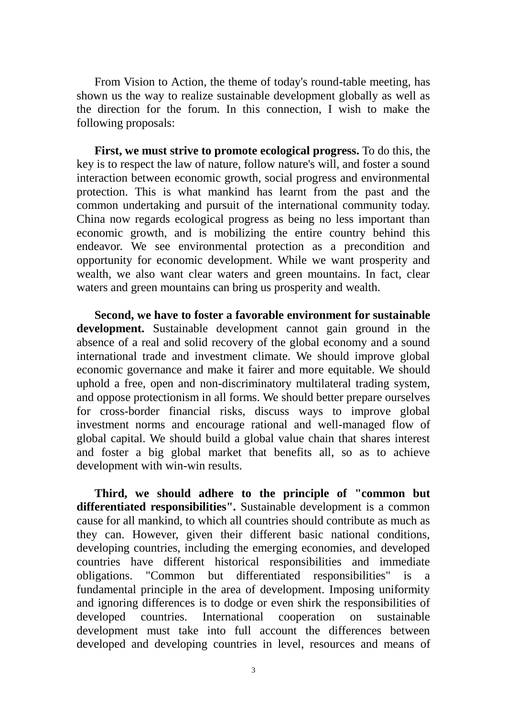From Vision to Action, the theme of today's round-table meeting, has shown us the way to realize sustainable development globally as well as the direction for the forum. In this connection, I wish to make the following proposals:

**First, we must strive to promote ecological progress.** To do this, the key is to respect the law of nature, follow nature's will, and foster a sound interaction between economic growth, social progress and environmental protection. This is what mankind has learnt from the past and the common undertaking and pursuit of the international community today. China now regards ecological progress as being no less important than economic growth, and is mobilizing the entire country behind this endeavor. We see environmental protection as a precondition and opportunity for economic development. While we want prosperity and wealth, we also want clear waters and green mountains. In fact, clear waters and green mountains can bring us prosperity and wealth.

**Second, we have to foster a favorable environment for sustainable development.** Sustainable development cannot gain ground in the absence of a real and solid recovery of the global economy and a sound international trade and investment climate. We should improve global economic governance and make it fairer and more equitable. We should uphold a free, open and non-discriminatory multilateral trading system, and oppose protectionism in all forms. We should better prepare ourselves for cross-border financial risks, discuss ways to improve global investment norms and encourage rational and well-managed flow of global capital. We should build a global value chain that shares interest and foster a big global market that benefits all, so as to achieve development with win-win results.

**Third, we should adhere to the principle of "common but differentiated responsibilities".** Sustainable development is a common cause for all mankind, to which all countries should contribute as much as they can. However, given their different basic national conditions, developing countries, including the emerging economies, and developed countries have different historical responsibilities and immediate obligations. "Common but differentiated responsibilities" is a fundamental principle in the area of development. Imposing uniformity and ignoring differences is to dodge or even shirk the responsibilities of developed countries. International cooperation on sustainable development must take into full account the differences between developed and developing countries in level, resources and means of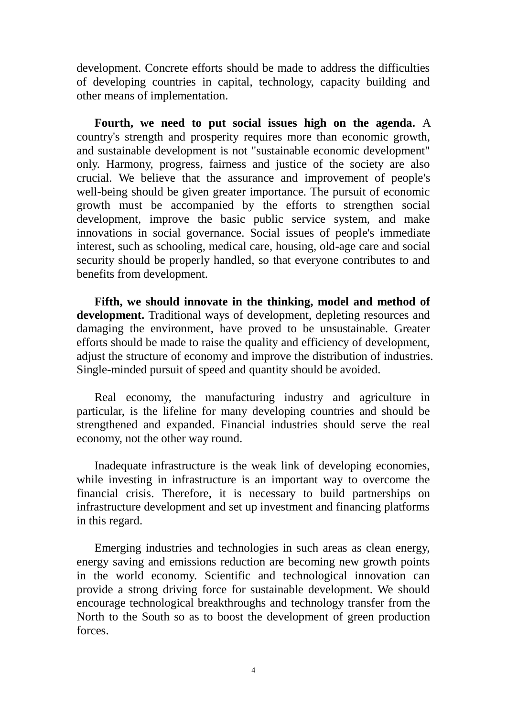development. Concrete efforts should be made to address the difficulties of developing countries in capital, technology, capacity building and other means of implementation.

**Fourth, we need to put social issues high on the agenda.** A country's strength and prosperity requires more than economic growth, and sustainable development is not "sustainable economic development" only. Harmony, progress, fairness and justice of the society are also crucial. We believe that the assurance and improvement of people's well-being should be given greater importance. The pursuit of economic growth must be accompanied by the efforts to strengthen social development, improve the basic public service system, and make innovations in social governance. Social issues of people's immediate interest, such as schooling, medical care, housing, old-age care and social security should be properly handled, so that everyone contributes to and benefits from development.

**Fifth, we should innovate in the thinking, model and method of development.** Traditional ways of development, depleting resources and damaging the environment, have proved to be unsustainable. Greater efforts should be made to raise the quality and efficiency of development, adjust the structure of economy and improve the distribution of industries. Single-minded pursuit of speed and quantity should be avoided.

Real economy, the manufacturing industry and agriculture in particular, is the lifeline for many developing countries and should be strengthened and expanded. Financial industries should serve the real economy, not the other way round.

Inadequate infrastructure is the weak link of developing economies, while investing in infrastructure is an important way to overcome the financial crisis. Therefore, it is necessary to build partnerships on infrastructure development and set up investment and financing platforms in this regard.

Emerging industries and technologies in such areas as clean energy, energy saving and emissions reduction are becoming new growth points in the world economy. Scientific and technological innovation can provide a strong driving force for sustainable development. We should encourage technological breakthroughs and technology transfer from the North to the South so as to boost the development of green production forces.